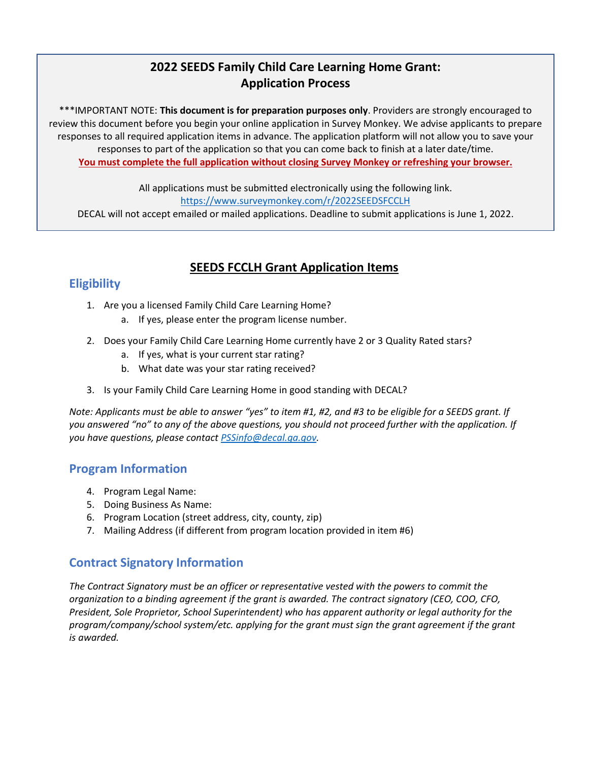# **SEEDS Grant Application Pr Application Process 2022 SEEDS Family Child Care Learning Home Grant:**

\*\*\*IMPORTANT NOTE: **This document is for preparation purposes only**. Providers are strongly encouraged to review this document before you begin your online application in Survey Monkey. We advise applicants to prepare responses to all required application items in advance. The application platform will not allow you to save your responses to part of the application so that you can come back to finish at a later date/time. **You must complete the full application without closing Survey Monkey or refreshing your browser.**

All applications must be submitted electronically using the following link. <https://www.surveymonkey.com/r/2022SEEDSFCCLH> DECAL will not accept emailed or mailed applications. Deadline to submit applications is June 1, 2022.

## **SEEDS FCCLH Grant Application Items**

# **Eligibility**

- 1. Are you a licensed Family Child Care Learning Home?
	- a. If yes, please enter the program license number.
- 2. Does your Family Child Care Learning Home currently have 2 or 3 Quality Rated stars?
	- a. If yes, what is your current star rating?
	- b. What date was your star rating received?
- 3. Is your Family Child Care Learning Home in good standing with DECAL?

*Note: Applicants must be able to answer "yes" to item #1, #2, and #3 to be eligible for a SEEDS grant. If you answered "no" to any of the above questions, you should not proceed further with the application. If you have questions, please contact [PSSinfo@decal.ga.gov.](mailto:PSSinfo@decal.ga.gov)* 

#### **Program Information**

- 4. Program Legal Name:
- 5. Doing Business As Name:
- 6. Program Location (street address, city, county, zip)
- 7. Mailing Address (if different from program location provided in item #6)

## **Contract Signatory Information**

*The Contract Signatory must be an officer or representative vested with the powers to commit the organization to a binding agreement if the grant is awarded. The contract signatory (CEO, COO, CFO, President, Sole Proprietor, School Superintendent) who has apparent authority or legal authority for the program/company/school system/etc. applying for the grant must sign the grant agreement if the grant is awarded.*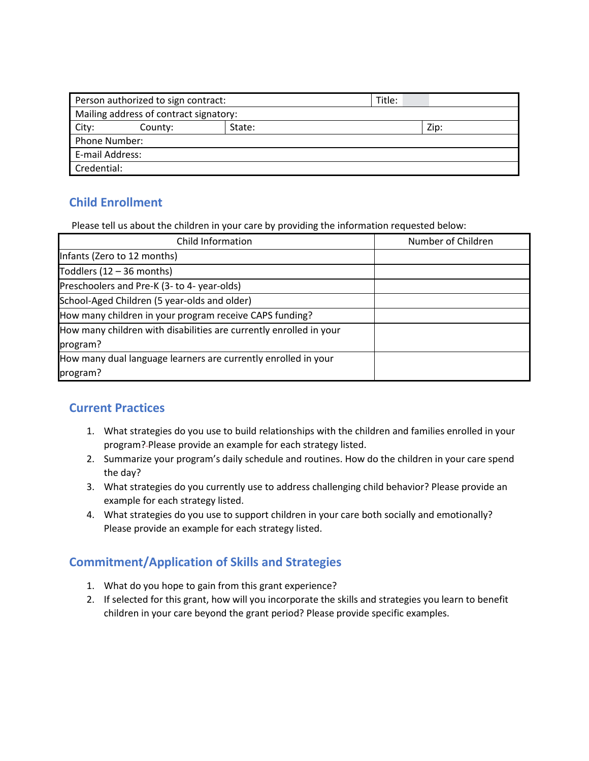| Person authorized to sign contract:<br>Title:<br>Mailing address of contract signatory:<br>Zip:<br>State:<br>City:<br>County:<br>Phone Number:<br>E-mail Address:<br>Credential: |  |  |  |  |  |  |  |
|----------------------------------------------------------------------------------------------------------------------------------------------------------------------------------|--|--|--|--|--|--|--|
|                                                                                                                                                                                  |  |  |  |  |  |  |  |
|                                                                                                                                                                                  |  |  |  |  |  |  |  |
|                                                                                                                                                                                  |  |  |  |  |  |  |  |
|                                                                                                                                                                                  |  |  |  |  |  |  |  |
|                                                                                                                                                                                  |  |  |  |  |  |  |  |
|                                                                                                                                                                                  |  |  |  |  |  |  |  |
|                                                                                                                                                                                  |  |  |  |  |  |  |  |

## **Child Enrollment**

Please tell us about the children in your care by providing the information requested below:

| Child Information                                                  | Number of Children |  |
|--------------------------------------------------------------------|--------------------|--|
| Infants (Zero to 12 months)                                        |                    |  |
| Toddlers $(12 - 36$ months)                                        |                    |  |
| Preschoolers and Pre-K (3- to 4- year-olds)                        |                    |  |
| School-Aged Children (5 year-olds and older)                       |                    |  |
| How many children in your program receive CAPS funding?            |                    |  |
| How many children with disabilities are currently enrolled in your |                    |  |
| program?                                                           |                    |  |
| How many dual language learners are currently enrolled in your     |                    |  |
| program?                                                           |                    |  |

## **Current Practices**

- 1. What strategies do you use to build relationships with the children and families enrolled in your program? Please provide an example for each strategy listed.
- 2. Summarize your program's daily schedule and routines. How do the children in your care spend the day?
- 3. What strategies do you currently use to address challenging child behavior? Please provide an example for each strategy listed.
- 4. What strategies do you use to support children in your care both socially and emotionally? Please provide an example for each strategy listed.

## **Commitment/Application of Skills and Strategies**

- 1. What do you hope to gain from this grant experience?
- 2. If selected for this grant, how will you incorporate the skills and strategies you learn to benefit children in your care beyond the grant period? Please provide specific examples.